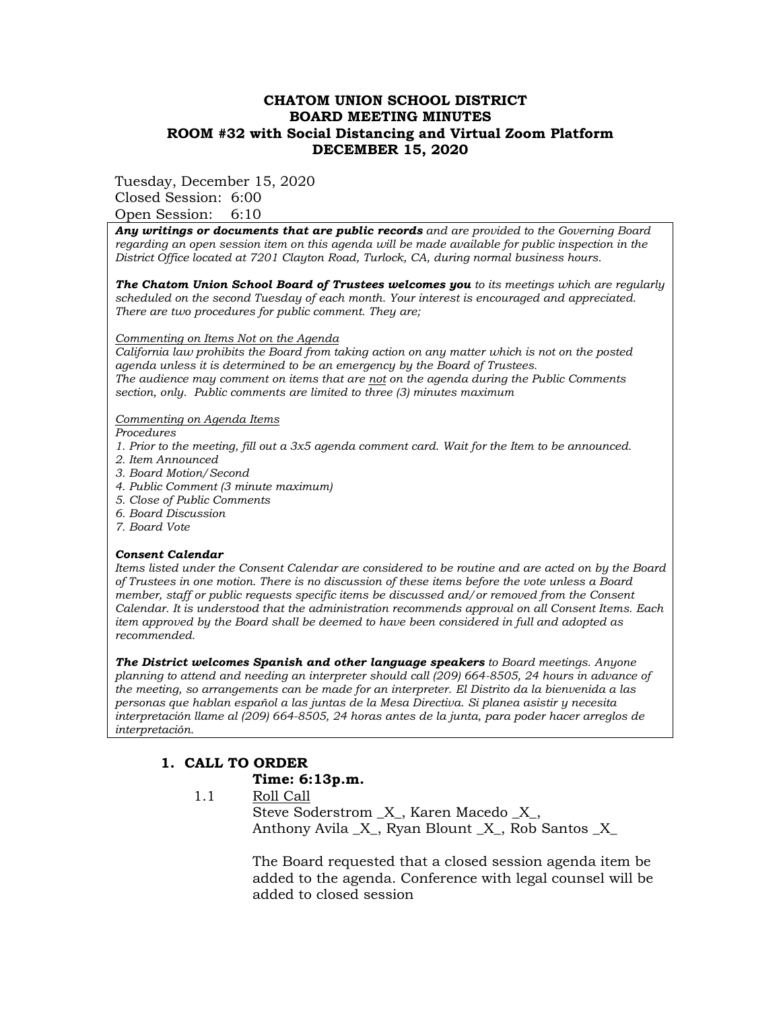## **CHATOM UNION SCHOOL DISTRICT BOARD MEETING MINUTES ROOM #32 with Social Distancing and Virtual Zoom Platform DECEMBER 15, 2020**

Tuesday, December 15, 2020

Closed Session: 6:00 Open Session: 6:10

*Any writings or documents that are public records and are provided to the Governing Board regarding an open session item on this agenda will be made available for public inspection in the District Office located at 7201 Clayton Road, Turlock, CA, during normal business hours.*

*The Chatom Union School Board of Trustees welcomes you to its meetings which are regularly scheduled on the second Tuesday of each month. Your interest is encouraged and appreciated. There are two procedures for public comment. They are;*

#### *Commenting on Items Not on the Agenda*

*California law prohibits the Board from taking action on any matter which is not on the posted agenda unless it is determined to be an emergency by the Board of Trustees. The audience may comment on items that are not on the agenda during the Public Comments section, only. Public comments are limited to three (3) minutes maximum* 

#### *Commenting on Agenda Items*

*Procedures* 

- *1. Prior to the meeting, fill out a 3x5 agenda comment card. Wait for the Item to be announced.*
- *2. Item Announced*
- *3. Board Motion/Second*
- *4. Public Comment (3 minute maximum)*
- *5. Close of Public Comments*
- *6. Board Discussion*
- *7. Board Vote*

### *Consent Calendar*

*Items listed under the Consent Calendar are considered to be routine and are acted on by the Board of Trustees in one motion. There is no discussion of these items before the vote unless a Board member, staff or public requests specific items be discussed and/or removed from the Consent Calendar. It is understood that the administration recommends approval on all Consent Items. Each item approved by the Board shall be deemed to have been considered in full and adopted as recommended.* 

*The District welcomes Spanish and other language speakers to Board meetings. Anyone planning to attend and needing an interpreter should call (209) 664-8505, 24 hours in advance of the meeting, so arrangements can be made for an interpreter. El Distrito da la bienvenida a las personas que hablan español a las juntas de la Mesa Directiva. Si planea asistir y necesita interpretación llame al (209) 664-8505, 24 horas antes de la junta, para poder hacer arreglos de interpretación.*

# **1. CALL TO ORDER**

### **Time: 6:13p.m.**

 1.1 Roll Call Steve Soderstrom \_X\_, Karen Macedo \_X\_, Anthony Avila  $X$ , Ryan Blount  $X$ , Rob Santos  $X$ 

> The Board requested that a closed session agenda item be added to the agenda. Conference with legal counsel will be added to closed session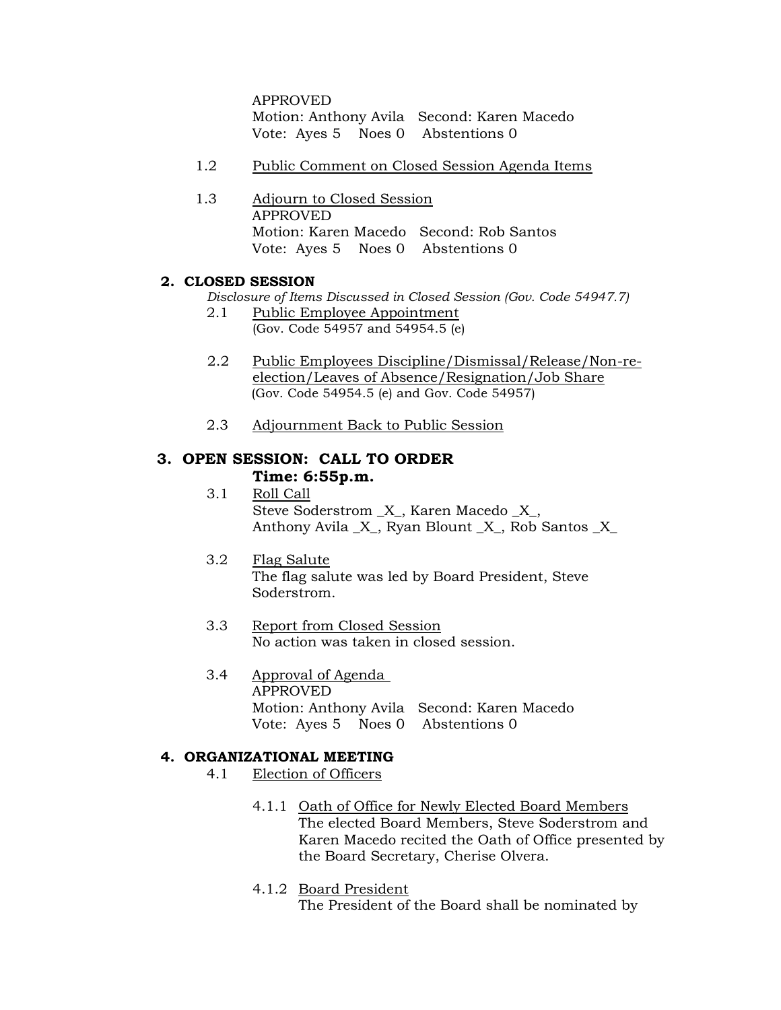APPROVED Motion: Anthony Avila Second: Karen Macedo Vote: Ayes 5 Noes 0 Abstentions 0

- 1.2 Public Comment on Closed Session Agenda Items
- 1.3 Adjourn to Closed Session APPROVED Motion: Karen Macedo Second: Rob Santos Vote: Ayes 5 Noes 0 Abstentions 0

# **2. CLOSED SESSION**

*Disclosure of Items Discussed in Closed Session (Gov. Code 54947.7)*

- 2.1 Public Employee Appointment (Gov. Code 54957 and 54954.5 (e)
- 2.2 Public Employees Discipline/Dismissal/Release/Non-reelection/Leaves of Absence/Resignation/Job Share (Gov. Code 54954.5 (e) and Gov. Code 54957)
- 2.3 Adjournment Back to Public Session

# **3. OPEN SESSION: CALL TO ORDER Time: 6:55p.m.**

- 3.1 Roll Call Steve Soderstrom \_X\_, Karen Macedo \_X\_, Anthony Avila  $X$ , Ryan Blount  $X$ , Rob Santos  $X$
- 3.2 Flag Salute The flag salute was led by Board President, Steve Soderstrom.
- 3.3 Report from Closed Session No action was taken in closed session.
- 3.4 Approval of Agenda APPROVED Motion: Anthony Avila Second: Karen Macedo Vote: Ayes 5 Noes 0 Abstentions 0

### **4. ORGANIZATIONAL MEETING**

- 4.1 Election of Officers
	- 4.1.1 Oath of Office for Newly Elected Board Members The elected Board Members, Steve Soderstrom and Karen Macedo recited the Oath of Office presented by the Board Secretary, Cherise Olvera.
	- 4.1.2 Board President The President of the Board shall be nominated by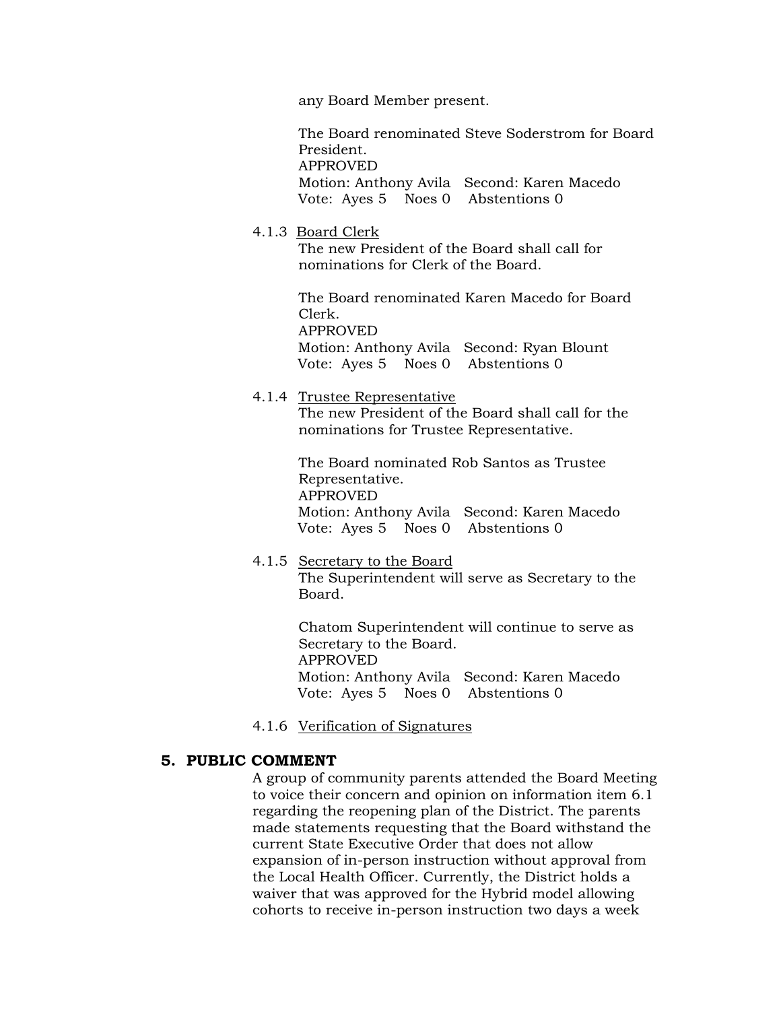any Board Member present.

The Board renominated Steve Soderstrom for Board President. APPROVED

Motion: Anthony Avila Second: Karen Macedo Vote: Ayes 5 Noes 0 Abstentions 0

#### 4.1.3 Board Clerk

The new President of the Board shall call for nominations for Clerk of the Board.

The Board renominated Karen Macedo for Board Clerk. APPROVED Motion: Anthony Avila Second: Ryan Blount Vote: Ayes 5 Noes 0 Abstentions 0

# 4.1.4 Trustee Representative

The new President of the Board shall call for the nominations for Trustee Representative.

The Board nominated Rob Santos as Trustee Representative. APPROVED Motion: Anthony Avila Second: Karen Macedo Vote: Ayes 5 Noes 0 Abstentions 0

4.1.5 Secretary to the Board The Superintendent will serve as Secretary to the Board.

> Chatom Superintendent will continue to serve as Secretary to the Board. APPROVED Motion: Anthony Avila Second: Karen Macedo Vote: Ayes 5 Noes 0 Abstentions 0

4.1.6 Verification of Signatures

## **5. PUBLIC COMMENT**

A group of community parents attended the Board Meeting to voice their concern and opinion on information item 6.1 regarding the reopening plan of the District. The parents made statements requesting that the Board withstand the current State Executive Order that does not allow expansion of in-person instruction without approval from the Local Health Officer. Currently, the District holds a waiver that was approved for the Hybrid model allowing cohorts to receive in-person instruction two days a week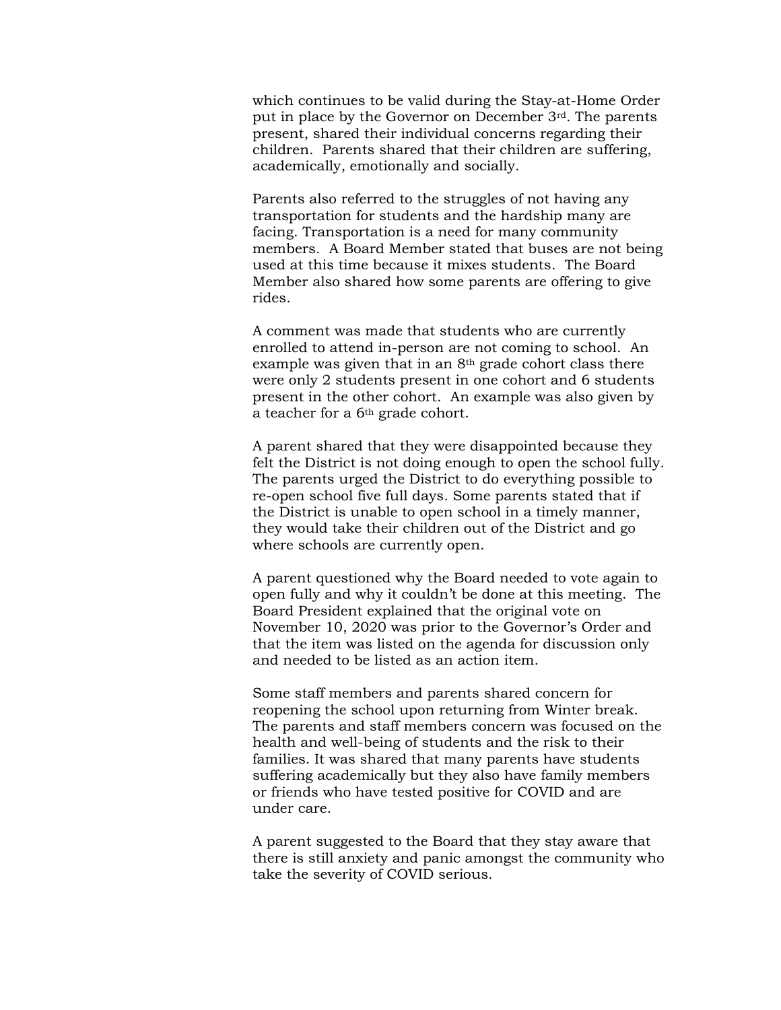which continues to be valid during the Stay-at-Home Order put in place by the Governor on December 3rd. The parents present, shared their individual concerns regarding their children. Parents shared that their children are suffering, academically, emotionally and socially.

Parents also referred to the struggles of not having any transportation for students and the hardship many are facing. Transportation is a need for many community members. A Board Member stated that buses are not being used at this time because it mixes students. The Board Member also shared how some parents are offering to give rides.

A comment was made that students who are currently enrolled to attend in-person are not coming to school. An example was given that in an  $8<sup>th</sup>$  grade cohort class there were only 2 students present in one cohort and 6 students present in the other cohort. An example was also given by a teacher for a 6th grade cohort.

A parent shared that they were disappointed because they felt the District is not doing enough to open the school fully. The parents urged the District to do everything possible to re-open school five full days. Some parents stated that if the District is unable to open school in a timely manner, they would take their children out of the District and go where schools are currently open.

A parent questioned why the Board needed to vote again to open fully and why it couldn't be done at this meeting. The Board President explained that the original vote on November 10, 2020 was prior to the Governor's Order and that the item was listed on the agenda for discussion only and needed to be listed as an action item.

Some staff members and parents shared concern for reopening the school upon returning from Winter break. The parents and staff members concern was focused on the health and well-being of students and the risk to their families. It was shared that many parents have students suffering academically but they also have family members or friends who have tested positive for COVID and are under care.

A parent suggested to the Board that they stay aware that there is still anxiety and panic amongst the community who take the severity of COVID serious.